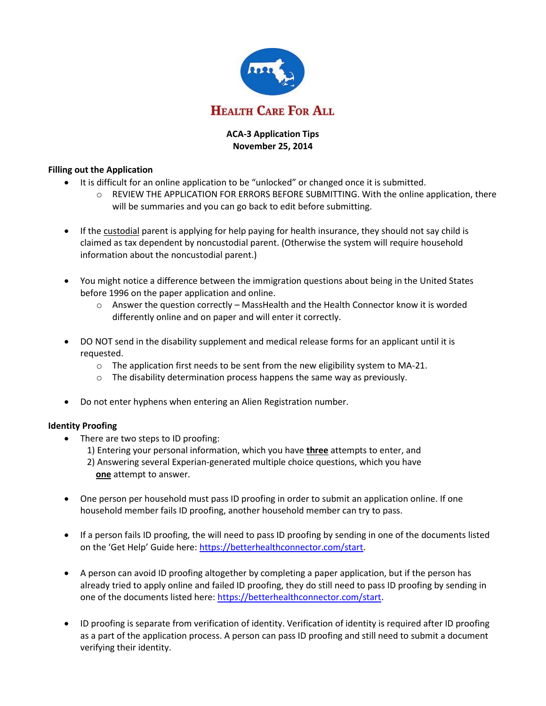

# **ACA-3 Application Tips November 25, 2014**

## **Filling out the Application**

- It is difficult for an online application to be "unlocked" or changed once it is submitted.
	- $\circ$  REVIEW THE APPLICATION FOR ERRORS BEFORE SUBMITTING. With the online application, there will be summaries and you can go back to edit before submitting.
- If the custodial parent is applying for help paying for health insurance, they should not say child is claimed as tax dependent by noncustodial parent. (Otherwise the system will require household information about the noncustodial parent.)
- You might notice a difference between the immigration questions about being in the United States before 1996 on the paper application and online.
	- $\circ$  Answer the question correctly MassHealth and the Health Connector know it is worded differently online and on paper and will enter it correctly.
- DO NOT send in the disability supplement and medical release forms for an applicant until it is requested.
	- o The application first needs to be sent from the new eligibility system to MA-21.
	- o The disability determination process happens the same way as previously.
- Do not enter hyphens when entering an Alien Registration number.

# **Identity Proofing**

- There are two steps to ID proofing:
	- 1) Entering your personal information, which you have **three** attempts to enter, and 2) Answering several Experian-generated multiple choice questions, which you have **one** attempt to answer.
- One person per household must pass ID proofing in order to submit an application online. If one household member fails ID proofing, another household member can try to pass.
- If a person fails ID proofing, the will need to pass ID proofing by sending in one of the documents listed on the 'Get Help' Guide here: [https://betterhealthconnector.com/start.](https://betterhealthconnector.com/start)
- A person can avoid ID proofing altogether by completing a paper application, but if the person has already tried to apply online and failed ID proofing, they do still need to pass ID proofing by sending in one of the documents listed here: [https://betterhealthconnector.com/start.](https://betterhealthconnector.com/start)
- ID proofing is separate from verification of identity. Verification of identity is required after ID proofing as a part of the application process. A person can pass ID proofing and still need to submit a document verifying their identity.